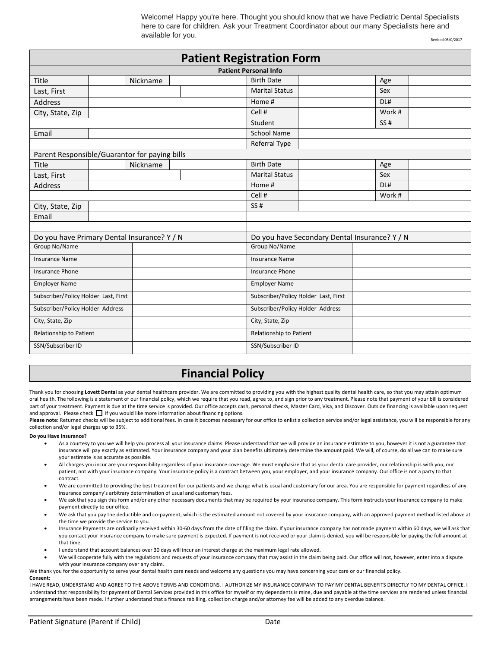Welcome! Happy you're here. Thought you should know that we have Pediatric Dental Specialists here to care for children. Ask your Treatment Coordinator about our many Specialists here and  $a$ vailable for you.

| <b>Patient Registration Form</b>              |  |          |                                      |                                               |     |     |        |  |  |  |  |
|-----------------------------------------------|--|----------|--------------------------------------|-----------------------------------------------|-----|-----|--------|--|--|--|--|
| <b>Patient Personal Info</b>                  |  |          |                                      |                                               |     |     |        |  |  |  |  |
| Title                                         |  | Nickname |                                      | <b>Birth Date</b>                             |     | Age |        |  |  |  |  |
| Last, First                                   |  |          |                                      | <b>Marital Status</b>                         |     | Sex |        |  |  |  |  |
| Address                                       |  |          |                                      | Home #                                        |     | DL# |        |  |  |  |  |
| City, State, Zip                              |  |          |                                      | Cell #                                        |     |     | Work # |  |  |  |  |
|                                               |  |          | Student                              |                                               | SS# |     |        |  |  |  |  |
| Email                                         |  |          |                                      | <b>School Name</b>                            |     |     |        |  |  |  |  |
|                                               |  |          |                                      | Referral Type                                 |     |     |        |  |  |  |  |
| Parent Responsible/Guarantor for paying bills |  |          |                                      |                                               |     |     |        |  |  |  |  |
| Title                                         |  | Nickname |                                      | <b>Birth Date</b>                             |     | Age |        |  |  |  |  |
| Last, First                                   |  |          |                                      | <b>Marital Status</b>                         |     | Sex |        |  |  |  |  |
| Address                                       |  |          |                                      | Home #                                        |     | DL# |        |  |  |  |  |
|                                               |  |          |                                      | Cell #                                        |     |     | Work # |  |  |  |  |
| City, State, Zip                              |  |          |                                      | SS#                                           |     |     |        |  |  |  |  |
| Email                                         |  |          |                                      |                                               |     |     |        |  |  |  |  |
|                                               |  |          |                                      |                                               |     |     |        |  |  |  |  |
| Do you have Primary Dental Insurance? Y / N   |  |          |                                      | Do you have Secondary Dental Insurance? Y / N |     |     |        |  |  |  |  |
| Group No/Name                                 |  |          | Group No/Name                        |                                               |     |     |        |  |  |  |  |
| Insurance Name                                |  |          |                                      | <b>Insurance Name</b>                         |     |     |        |  |  |  |  |
| <b>Insurance Phone</b>                        |  |          |                                      | <b>Insurance Phone</b>                        |     |     |        |  |  |  |  |
| <b>Employer Name</b>                          |  |          |                                      | <b>Employer Name</b>                          |     |     |        |  |  |  |  |
| Subscriber/Policy Holder Last, First          |  |          | Subscriber/Policy Holder Last, First |                                               |     |     |        |  |  |  |  |
| Subscriber/Policy Holder Address              |  |          | Subscriber/Policy Holder Address     |                                               |     |     |        |  |  |  |  |
| City, State, Zip                              |  |          | City, State, Zip                     |                                               |     |     |        |  |  |  |  |
| Relationship to Patient                       |  |          | Relationship to Patient              |                                               |     |     |        |  |  |  |  |
| SSN/Subscriber ID                             |  |          | SSN/Subscriber ID                    |                                               |     |     |        |  |  |  |  |

## **Financial Policy**

Thank you for choosing Lovett Dental as your dental healthcare provider. We are committed to providing you with the highest quality dental health care, so that you may attain optimum oral health. The following is a statement of our financial policy, which we require that you read, agree to, and sign prior to any treatment. Please note that payment of your bill is considered part of your treatment. Payment is due at the time service is provided. Our office accepts cash, personal checks, Master Card, Visa, and Discover. Outside financing is available upon request and approval. Please check  $\Box$  if you would like more information about financing options.

Please note: Returned checks will be subject to additional fees. In case it becomes necessary for our office to enlist a collection service and/or legal assistance, you will be responsible for any collection and/or legal charges up to 35%.

## **Do you Have Insurance?**

- As a courtesy to you we will help you process all your insurance claims. Please understand that we will provide an insurance estimate to you, however it is not a guarantee that insurance will pay exactly as estimated. Your insurance company and your plan benefits ultimately determine the amount paid. We will, of course, do all we can to make sure your estimate is as accurate as possible.
- All charges you incur are your responsibility regardless of your insurance coverage. We must emphasize that as your dental care provider, our relationship is with you, our patient, not with your insurance company. Your insurance policy is a contract between you, your employer, and your insurance company. Our office is not a party to that contract.
- We are committed to providing the best treatment for our patients and we charge what is usual and customary for our area. You are responsible for payment regardless of any insurance company's arbitrary determination of usual and customary fees.
- We ask that you sign this form and/or any other necessary documents that may be required by your insurance company. This form instructs your insurance company to make payment directly to our office.
- We ask that you pay the deductible and co-payment, which is the estimated amount not covered by your insurance company, with an approved payment method listed above at the time we provide the service to you.
- Insurance Payments are ordinarily received within 30-60 days from the date of filing the claim. If your insurance company has not made payment within 60 days, we will ask that you contact your insurance company to make sure payment is expected. If payment is not received or your claim is denied, you will be responsible for paying the full amount at that time.
- I understand that account balances over 30 days will incur an interest charge at the maximum legal rate allowed.
- We will cooperate fully with the regulations and requests of your insurance company that may assist in the claim being paid. Our office will not, however, enter into a dispute with your insurance company over any claim.

We thank you for the opportunity to serve your dental health care needs and welcome any questions you may have concerning your care or our financial policy.

## **Consent:**

I HAVE READ, UNDERSTAND AND AGREE TO THE ABOVE TERMS AND CONDITIONS. I AUTHORIZE MY INSURANCE COMPANY TO PAY MY DENTAL BENEFITS DIRECTLY TO MY DENTAL OFFICE. I understand that responsibility for payment of Dental Services provided in this office for myself or my dependents is mine, due and payable at the time services are rendered unless financial arrangements have been made. I further understand that a finance rebilling, collection charge and/or attorney fee will be added to any overdue balance.